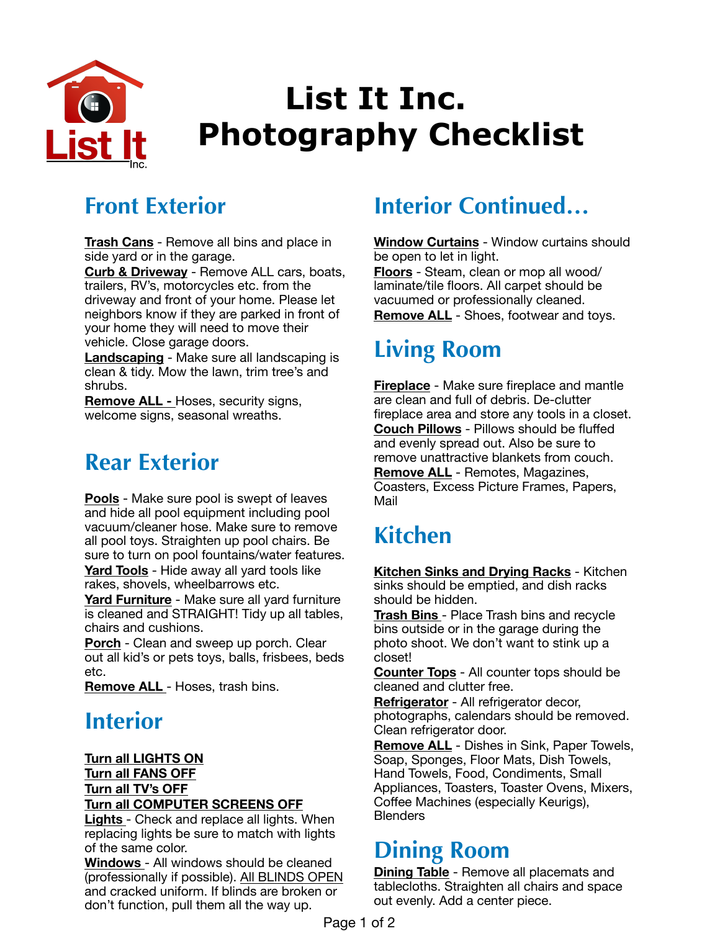

# **List It Inc. Photography Checklist**

### **Front Exterior**

**Trash Cans** - Remove all bins and place in side yard or in the garage.

**Curb & Driveway** - Remove ALL cars, boats, trailers, RV's, motorcycles etc. from the driveway and front of your home. Please let neighbors know if they are parked in front of your home they will need to move their vehicle. Close garage doors.

**Landscaping** - Make sure all landscaping is clean & tidy. Mow the lawn, trim tree's and shrubs.

**Remove ALL -** Hoses, security signs, welcome signs, seasonal wreaths.

#### **Rear Exterior**

**Pools** - Make sure pool is swept of leaves and hide all pool equipment including pool vacuum/cleaner hose. Make sure to remove all pool toys. Straighten up pool chairs. Be sure to turn on pool fountains/water features. **Yard Tools** - Hide away all yard tools like

rakes, shovels, wheelbarrows etc.

**Yard Furniture** - Make sure all yard furniture is cleaned and STRAIGHT! Tidy up all tables, chairs and cushions.

**Porch** - Clean and sweep up porch. Clear out all kid's or pets toys, balls, frisbees, beds etc.

**Remove ALL** - Hoses, trash bins.

### **Interior**

**Turn all LIGHTS ON Turn all FANS OFF Turn all TV's OFF Turn all COMPUTER SCREENS OFF** 

**Lights** - Check and replace all lights. When replacing lights be sure to match with lights of the same color.

**Windows** - All windows should be cleaned (professionally if possible). All BLINDS OPEN and cracked uniform. If blinds are broken or don't function, pull them all the way up.

# **Interior Continued…**

**Window Curtains** - Window curtains should be open to let in light. **Floors** - Steam, clean or mop all wood/

laminate/tile floors. All carpet should be vacuumed or professionally cleaned. **Remove ALL** - Shoes, footwear and toys.

# **Living Room**

**Fireplace** - Make sure fireplace and mantle are clean and full of debris. De-clutter fireplace area and store any tools in a closet. **Couch Pillows** - Pillows should be fluffed and evenly spread out. Also be sure to remove unattractive blankets from couch. **Remove ALL** - Remotes, Magazines, Coasters, Excess Picture Frames, Papers, Mail

# **Kitchen**

**Kitchen Sinks and Drying Racks** - Kitchen sinks should be emptied, and dish racks should be hidden.

**Trash Bins** - Place Trash bins and recycle bins outside or in the garage during the photo shoot. We don't want to stink up a closet!

**Counter Tops** - All counter tops should be cleaned and clutter free.

**Refrigerator** - All refrigerator decor, photographs, calendars should be removed. Clean refrigerator door.

**Remove ALL** - Dishes in Sink, Paper Towels, Soap, Sponges, Floor Mats, Dish Towels, Hand Towels, Food, Condiments, Small Appliances, Toasters, Toaster Ovens, Mixers, Coffee Machines (especially Keurigs), **Blenders** 

## **Dining Room**

**Dining Table** - Remove all placemats and tablecloths. Straighten all chairs and space out evenly. Add a center piece.